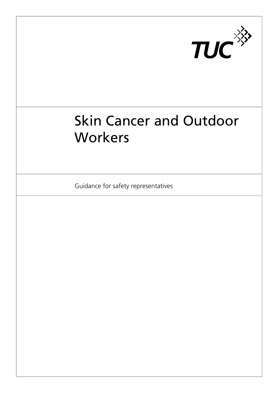

# Skin Cancer and Outdoor **Workers**

Guidance for safety representatives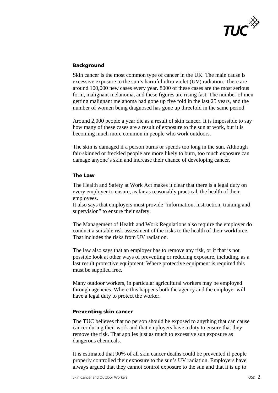

## **Background**

Skin cancer is the most common type of cancer in the UK. The main cause is excessive exposure to the sun's harmful ultra violet (UV) radiation. There are around 100,000 new cases every year. 8000 of these cases are the most serious form, malignant melanoma, and these figures are rising fast. The number of men getting malignant melanoma had gone up five fold in the last 25 years, and the number of women being diagnosed has gone up threefold in the same period.

Around 2,000 people a year die as a result of skin cancer. It is impossible to say how many of these cases are a result of exposure to the sun at work, but it is becoming much more common in people who work outdoors.

The skin is damaged if a person burns or spends too long in the sun. Although fair-skinned or freckled people are more likely to burn, too much exposure can damage anyone's skin and increase their chance of developing cancer.

### **The Law**

The Health and Safety at Work Act makes it clear that there is a legal duty on every employer to ensure, as far as reasonably practical, the health of their employees.

It also says that employers must provide "information, instruction, training and supervision" to ensure their safety.

The Management of Health and Work Regulations also require the employer do conduct a suitable risk assessment of the risks to the health of their workforce. That includes the risks from UV radiation.

The law also says that an employer has to remove any risk, or if that is not possible look at other ways of preventing or reducing exposure, including, as a last result protective equipment. Where protective equipment is required this must be supplied free.

Many outdoor workers, in particular agricultural workers may be employed through agencies. Where this happens both the agency and the employer will have a legal duty to protect the worker.

### **Preventing skin cancer**

The TUC believes that no person should be exposed to anything that can cause cancer during their work and that employers have a duty to ensure that they remove the risk. That applies just as much to excessive sun exposure as dangerous chemicals.

It is estimated that 90% of all skin cancer deaths could be prevented if people properly controlled their exposure to the sun's UV radiation. Employers have always argued that they cannot control exposure to the sun and that it is up to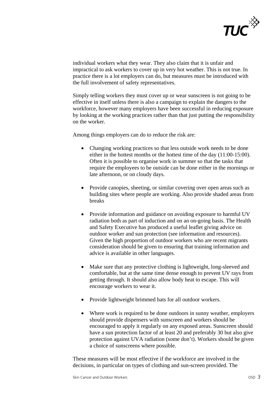

individual workers what they wear. They also claim that it is unfair and impractical to ask workers to cover up in very hot weather. This is not true. In practice there is a lot employers can do, but measures must be introduced with the full involvement of safety representatives.

Simply telling workers they must cover up or wear sunscreen is not going to be effective in itself unless there is also a campaign to explain the dangers to the workforce, however many employers have been successful in reducing exposure by looking at the working practices rather than that just putting the responsibility on the worker.

Among things employers can do to reduce the risk are:

- Changing working practices so that less outside work needs to be done either in the hottest months or the hottest time of the day (11:00-15:00). Often it is possible to organise work in summer so that the tasks that require the employees to be outside can be done either in the mornings or late afternoon, or on cloudy days.
- Provide canopies, sheeting, or similar covering over open areas such as building sites where people are working. Also provide shaded areas from breaks
- Provide information and guidance on avoiding exposure to harmful UV radiation both as part of induction and on an on-going basis. The Health and Safety Executive has produced a useful leaflet giving advice on outdoor worker and sun protection (see information and resources). Given the high proportion of outdoor workers who are recent migrants consideration should be given to ensuring that training information and advice is available in other languages.
- Make sure that any protective clothing is lightweight, long-sleeved and comfortable, but at the same time dense enough to prevent UV rays from getting through. It should also allow body heat to escape. This will encourage workers to wear it.
- Provide lightweight brimmed hats for all outdoor workers.
- Where work is required to be done outdoors in sunny weather, employers should provide dispensers with sunscreen and workers should be encouraged to apply it regularly on any exposed areas. Sunscreen should have a sun protection factor of at least 20 and preferably 30 but also give protection against UVA radiation (some don't). Workers should be given a choice of sunscreens where possible.

These measures will be most effective if the workforce are involved in the decisions, in particular on types of clothing and sun-screen provided. The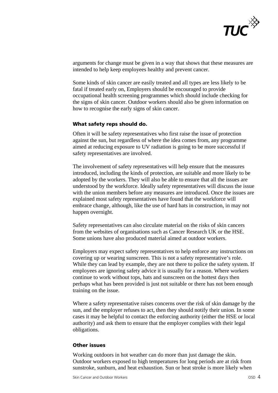

arguments for change must be given in a way that shows that these measures are intended to help keep employees healthy and prevent cancer.

Some kinds of skin cancer are easily treated and all types are less likely to be fatal if treated early on, Employers should be encouraged to provide occupational health screening programmes which should include checking for the signs of skin cancer. Outdoor workers should also be given information on how to recognise the early signs of skin cancer.

#### **What safety reps should do.**

Often it will be safety representatives who first raise the issue of protection against the sun, but regardless of where the idea comes from, any programme aimed at reducing exposure to UV radiation is going to be more successful if safety representatives are involved.

The involvement of safety representatives will help ensure that the measures introduced, including the kinds of protection, are suitable and more likely to be adopted by the workers. They will also be able to ensure that all the issues are understood by the workforce. Ideally safety representatives will discuss the issue with the union members before any measures are introduced. Once the issues are explained most safety representatives have found that the workforce will embrace change, although, like the use of hard hats in construction, in may not happen overnight.

Safety representatives can also circulate material on the risks of skin cancers from the websites of organisations such as Cancer Research UK or the HSE. Some unions have also produced material aimed at outdoor workers.

Employers may expect safety representatives to help enforce any instructions on covering up or wearing sunscreen. This is not a safety representative's role. While they can lead by example, they are not there to police the safety system. If employees are ignoring safety advice it is usually for a reason. Where workers continue to work without tops, hats and sunscreen on the hottest days then perhaps what has been provided is just not suitable or there has not been enough training on the issue.

Where a safety representative raises concerns over the risk of skin damage by the sun, and the employer refuses to act, then they should notify their union. In some cases it may be helpful to contact the enforcing authority (either the HSE or local authority) and ask them to ensure that the employer complies with their legal obligations.

### **Other issues**

Working outdoors in hot weather can do more than just damage the skin. Outdoor workers exposed to high temperatures for long periods are at risk from sunstroke, sunburn, and heat exhaustion. Sun or heat stroke is more likely when